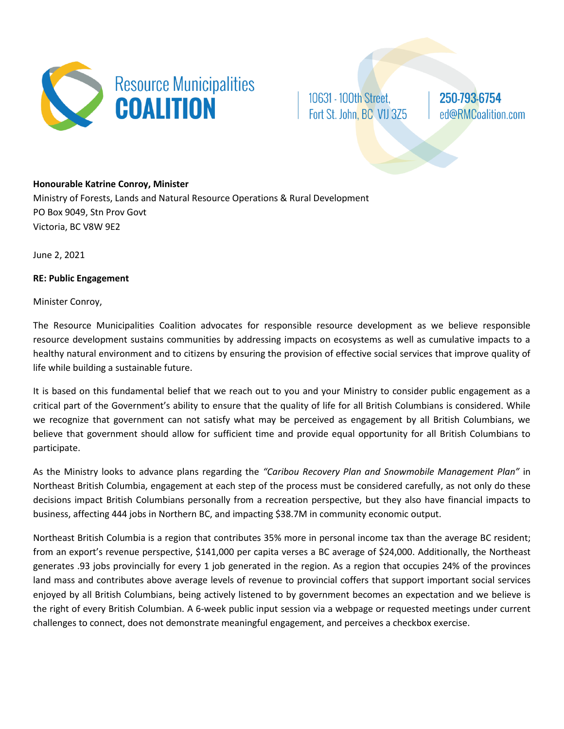

10631 - 100th Street, Fort St. John, BC V1J 3Z5 250-793-6754 ed@RMCoalition.com

## **Honourable Katrine Conroy, Minister**

Ministry of Forests, Lands and Natural Resource Operations & Rural Development PO Box 9049, Stn Prov Govt Victoria, BC V8W 9E2

June 2, 2021

## **RE: Public Engagement**

Minister Conroy,

The Resource Municipalities Coalition advocates for responsible resource development as we believe responsible resource development sustains communities by addressing impacts on ecosystems as well as cumulative impacts to a healthy natural environment and to citizens by ensuring the provision of effective social services that improve quality of life while building a sustainable future.

It is based on this fundamental belief that we reach out to you and your Ministry to consider public engagement as a critical part of the Government's ability to ensure that the quality of life for all British Columbians is considered. While we recognize that government can not satisfy what may be perceived as engagement by all British Columbians, we believe that government should allow for sufficient time and provide equal opportunity for all British Columbians to participate.

As the Ministry looks to advance plans regarding the *"Caribou Recovery Plan and Snowmobile Management Plan"* in Northeast British Columbia, engagement at each step of the process must be considered carefully, as not only do these decisions impact British Columbians personally from a recreation perspective, but they also have financial impacts to business, affecting 444 jobs in Northern BC, and impacting \$38.7M in community economic output.

Northeast British Columbia is a region that contributes 35% more in personal income tax than the average BC resident; from an export's revenue perspective, \$141,000 per capita verses a BC average of \$24,000. Additionally, the Northeast generates .93 jobs provincially for every 1 job generated in the region. As a region that occupies 24% of the provinces land mass and contributes above average levels of revenue to provincial coffers that support important social services enjoyed by all British Columbians, being actively listened to by government becomes an expectation and we believe is the right of every British Columbian. A 6-week public input session via a webpage or requested meetings under current challenges to connect, does not demonstrate meaningful engagement, and perceives a checkbox exercise.